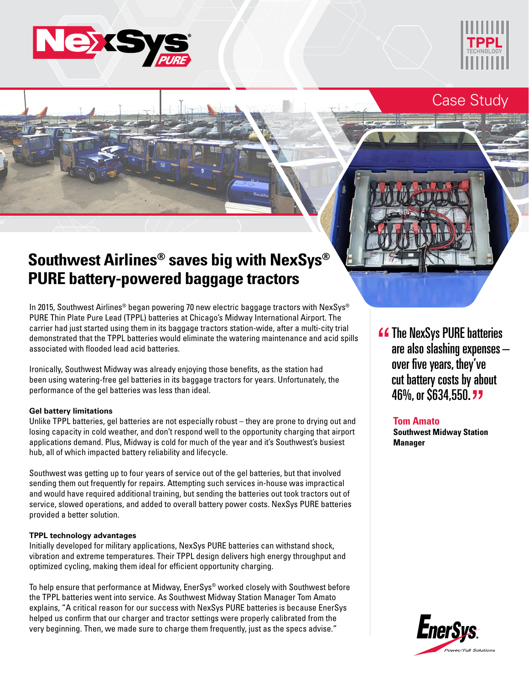



## Case Study

# **Southwest Airlines® saves big with NexSys® PURE battery-powered baggage tractors**

In 2015, Southwest Airlines® began powering 70 new electric baggage tractors with NexSys® PURE Thin Plate Pure Lead (TPPL) batteries at Chicago's Midway International Airport. The carrier had just started using them in its baggage tractors station-wide, after a multi-city trial demonstrated that the TPPL batteries would eliminate the watering maintenance and acid spills associated with flooded lead acid batteries.

Ironically, Southwest Midway was already enjoying those benefits, as the station had been using watering-free gel batteries in its baggage tractors for years. Unfortunately, the performance of the gel batteries was less than ideal.

#### **Gel battery limitations**

Unlike TPPL batteries, gel batteries are not especially robust – they are prone to drying out and losing capacity in cold weather, and don't respond well to the opportunity charging that airport applications demand. Plus, Midway is cold for much of the year and it's Southwest's busiest hub, all of which impacted battery reliability and lifecycle.

Southwest was getting up to four years of service out of the gel batteries, but that involved sending them out frequently for repairs. Attempting such services in-house was impractical and would have required additional training, but sending the batteries out took tractors out of service, slowed operations, and added to overall battery power costs. NexSys PURE batteries provided a better solution.

#### **TPPL technology advantages**

Initially developed for military applications, NexSys PURE batteries can withstand shock, vibration and extreme temperatures. Their TPPL design delivers high energy throughput and optimized cycling, making them ideal for efficient opportunity charging.

To help ensure that performance at Midway, EnerSys® worked closely with Southwest before the TPPL batteries went into service. As Southwest Midway Station Manager Tom Amato explains, "A critical reason for our success with NexSys PURE batteries is because EnerSys helped us confirm that our charger and tractor settings were properly calibrated from the very beginning. Then, we made sure to charge them frequently, just as the specs advise."

**4 The NexSys PURE batteries<br>
are also slashing expenses** are also slashing expenses – over five years, they've cut battery costs by about cut battery costs by abı<br>46%, or \$634,550. <mark>77</mark>

### **Tom Amato**

**Southwest Midway Station Manager**